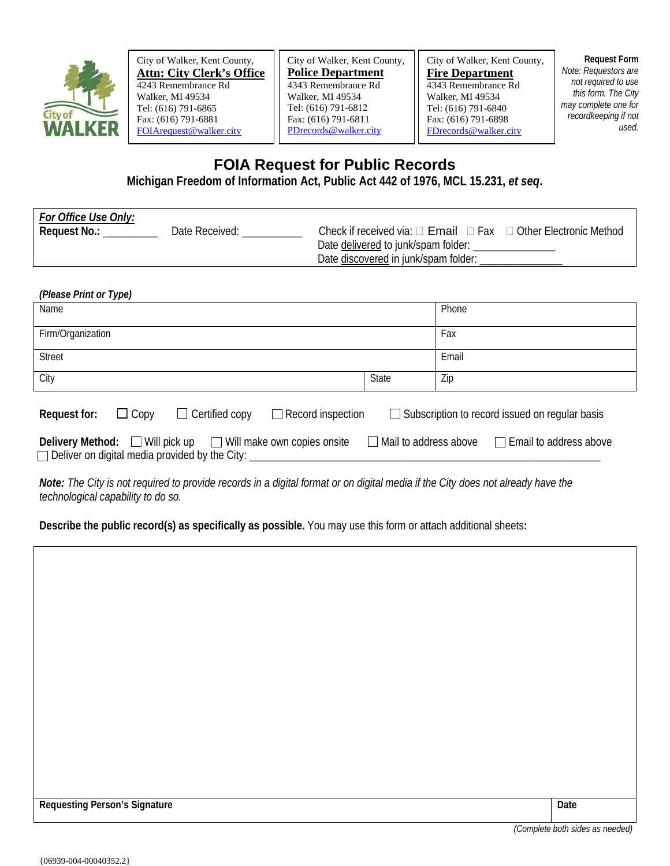

City of Walker, Kent County, **Attn: City Clerk's Office** 4243 Remembrance Rd Walker, MI 49534 Tel: (616) 791-6865 Fax: (616) 791-6881 [FOIArequest@walker.city](mailto:FOIArequest@walker.city) 

City of Walker, Kent County, **Police Department** 4343 Remembrance Rd Walker, MI 49534 Tel: (616) 791-6812 Fax: (616) 791-6811 [PDrecords@walker.city](mailto:PDrecords@walker.city)

City of Walker, Kent County, **Fire Department** 4343 Remembrance Rd Walker, MI 49534 Tel: (616) 791-6840 Fax: (616) 791-6898 [FDrecords@walker.city](mailto:FDrecords@walker.city)

**Request Form** *Note: Requestors are not required to use this form. The City may complete one for recordkeeping if not used.*

## **FOIA Request for Public Records**

**Michigan Freedom of Information Act, Public Act 442 of 1976, MCL 15.231,** *et seq***.** 

| For Office Use Only: |                |                                                                                      |  |
|----------------------|----------------|--------------------------------------------------------------------------------------|--|
| Request No.:         | Date Received: | Check if received via: $\Box$ <b>Email</b> $\Box$ Fax $\Box$ Other Electronic Method |  |
|                      |                | Date delivered to junk/spam folder:                                                  |  |
|                      |                | Date discovered in junk/spam folder:                                                 |  |

| (Please Print or Type)                                                                                                                                                                        |              |       |  |  |
|-----------------------------------------------------------------------------------------------------------------------------------------------------------------------------------------------|--------------|-------|--|--|
| Name                                                                                                                                                                                          |              | Phone |  |  |
| Firm/Organization                                                                                                                                                                             |              | Fax   |  |  |
| <b>Street</b>                                                                                                                                                                                 |              | Email |  |  |
| City                                                                                                                                                                                          | <b>State</b> | Zip   |  |  |
| $\Box$ Certified copy<br>$\Box$ Copy<br>$\Box$ Record inspection<br>$\Box$ Subscription to record issued on regular basis<br>Request for:                                                     |              |       |  |  |
| Delivery Method: $\Box$ Will pick up<br>$\Box$ Will make own copies onsite<br>$\Box$ Mail to address above<br>$\Box$ Email to address above<br>Deliver on digital media provided by the City: |              |       |  |  |

*Note: The City is not required to provide records in a digital format or on digital media if the City does not already have the technological capability to do so.*

**Describe the public record(s) as specifically as possible.** You may use this form or attach additional sheets**:**